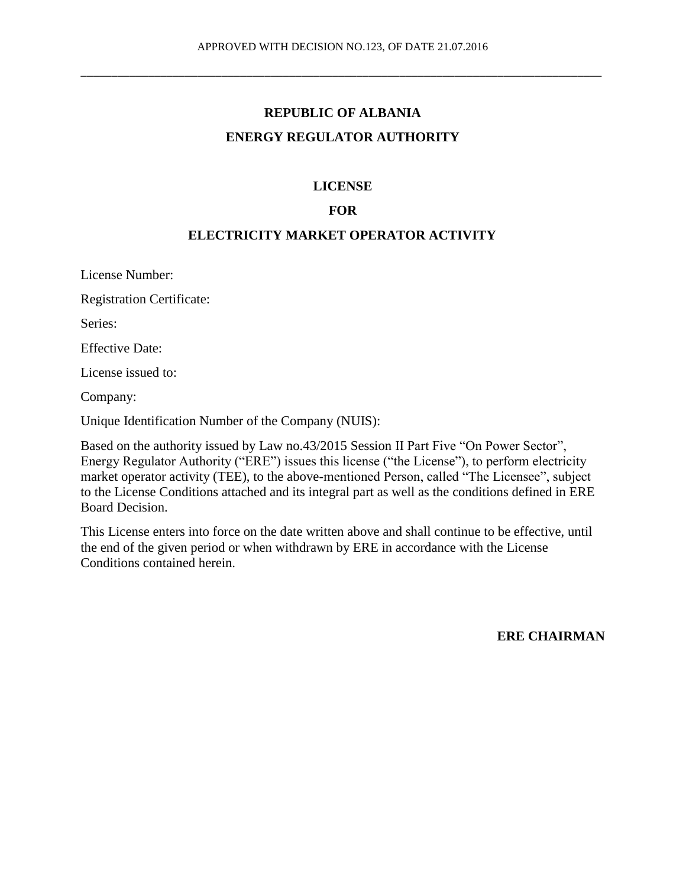# **REPUBLIC OF ALBANIA ENERGY REGULATOR AUTHORITY**

#### **LICENSE**

#### **FOR**

#### **ELECTRICITY MARKET OPERATOR ACTIVITY**

License Number:

Registration Certificate:

Series:

Effective Date:

License issued to:

Company:

Unique Identification Number of the Company (NUIS):

Based on the authority issued by Law no.43/2015 Session II Part Five "On Power Sector", Energy Regulator Authority ("ERE") issues this license ("the License"), to perform electricity market operator activity (TEE), to the above-mentioned Person, called "The Licensee", subject to the License Conditions attached and its integral part as well as the conditions defined in ERE Board Decision.

This License enters into force on the date written above and shall continue to be effective, until the end of the given period or when withdrawn by ERE in accordance with the License Conditions contained herein.

 **ERE CHAIRMAN**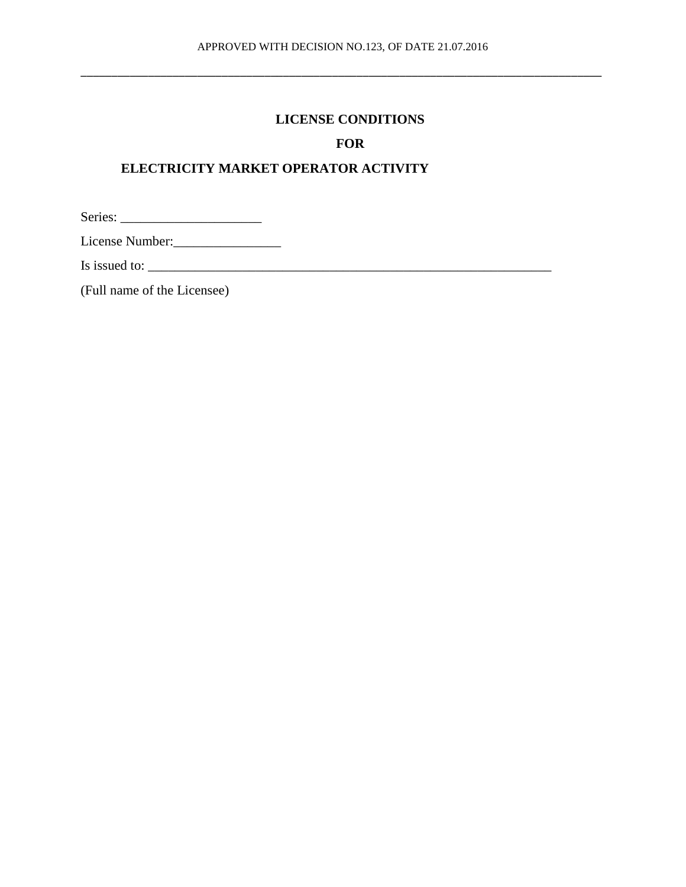#### **LICENSE CONDITIONS**

# **FOR**

# **ELECTRICITY MARKET OPERATOR ACTIVITY**

Series: \_\_\_\_\_\_\_\_\_\_\_\_\_\_\_\_\_\_\_\_\_

License Number:\_\_\_\_\_\_\_\_\_\_\_\_\_\_\_\_

Is issued to:  $\frac{1}{2}$  issued to:

(Full name of the Licensee)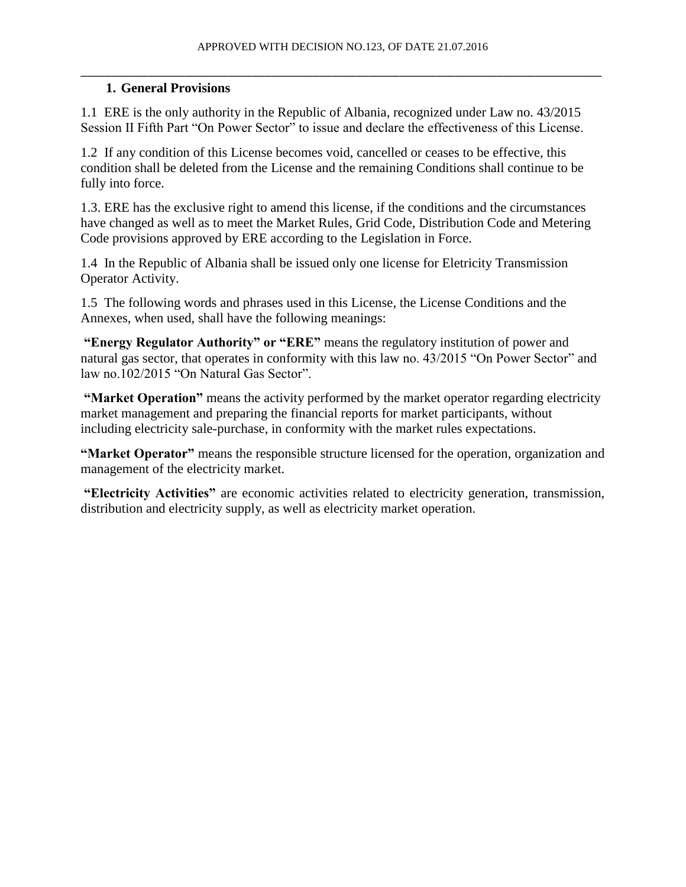#### **1. General Provisions**

1.1 ERE is the only authority in the Republic of Albania, recognized under Law no. 43/2015 Session II Fifth Part "On Power Sector" to issue and declare the effectiveness of this License.

1.2 If any condition of this License becomes void, cancelled or ceases to be effective, this condition shall be deleted from the License and the remaining Conditions shall continue to be fully into force.

1.3. ERE has the exclusive right to amend this license, if the conditions and the circumstances have changed as well as to meet the Market Rules, Grid Code, Distribution Code and Metering Code provisions approved by ERE according to the Legislation in Force.

1.4 In the Republic of Albania shall be issued only one license for Eletricity Transmission Operator Activity.

1.5 The following words and phrases used in this License, the License Conditions and the Annexes, when used, shall have the following meanings:

**"Energy Regulator Authority" or "ERE"** means the regulatory institution of power and natural gas sector, that operates in conformity with this law no. 43/2015 "On Power Sector" and law no.102/2015 "On Natural Gas Sector".

**"Market Operation"** means the activity performed by the market operator regarding electricity market management and preparing the financial reports for market participants, without including electricity sale-purchase, in conformity with the market rules expectations.

**"Market Operator"** means the responsible structure licensed for the operation, organization and management of the electricity market.

**"Electricity Activities"** are economic activities related to electricity generation, transmission, distribution and electricity supply, as well as electricity market operation.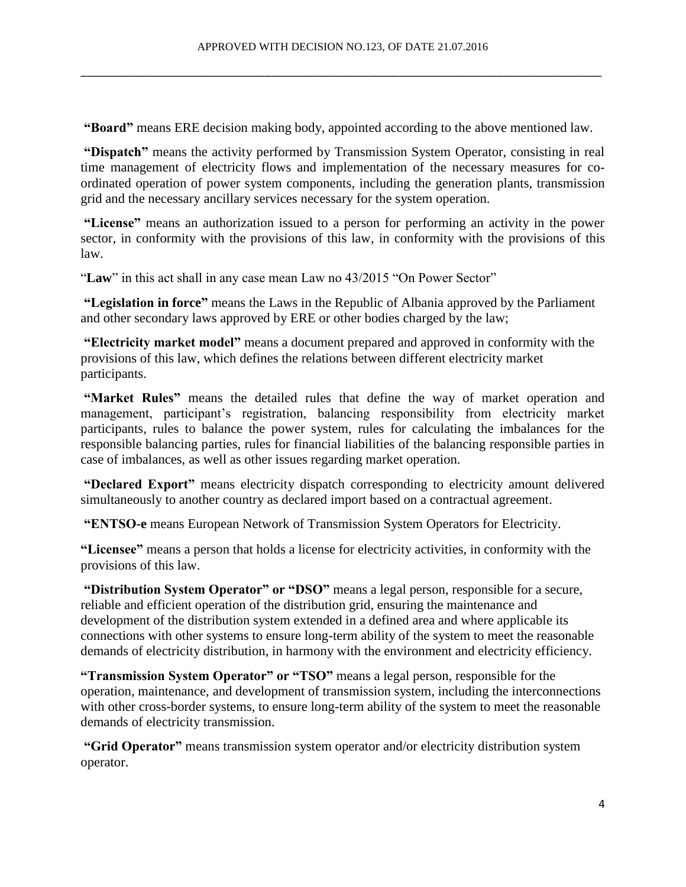**"Board"** means ERE decision making body, appointed according to the above mentioned law.

**"Dispatch"** means the activity performed by Transmission System Operator, consisting in real time management of electricity flows and implementation of the necessary measures for coordinated operation of power system components, including the generation plants, transmission grid and the necessary ancillary services necessary for the system operation.

**"License"** means an authorization issued to a person for performing an activity in the power sector, in conformity with the provisions of this law, in conformity with the provisions of this law.

"Law" in this act shall in any case mean Law no 43/2015 "On Power Sector"

**"Legislation in force"** means the Laws in the Republic of Albania approved by the Parliament and other secondary laws approved by ERE or other bodies charged by the law;

**"Electricity market model"** means a document prepared and approved in conformity with the provisions of this law, which defines the relations between different electricity market participants.

**"Market Rules"** means the detailed rules that define the way of market operation and management, participant's registration, balancing responsibility from electricity market participants, rules to balance the power system, rules for calculating the imbalances for the responsible balancing parties, rules for financial liabilities of the balancing responsible parties in case of imbalances, as well as other issues regarding market operation.

**"Declared Export"** means electricity dispatch corresponding to electricity amount delivered simultaneously to another country as declared import based on a contractual agreement.

**"ENTSO-e** means European Network of Transmission System Operators for Electricity.

**"Licensee"** means a person that holds a license for electricity activities, in conformity with the provisions of this law.

**"Distribution System Operator" or "DSO"** means a legal person, responsible for a secure, reliable and efficient operation of the distribution grid, ensuring the maintenance and development of the distribution system extended in a defined area and where applicable its connections with other systems to ensure long-term ability of the system to meet the reasonable demands of electricity distribution, in harmony with the environment and electricity efficiency.

**"Transmission System Operator" or "TSO"** means a legal person, responsible for the operation, maintenance, and development of transmission system, including the interconnections with other cross-border systems, to ensure long-term ability of the system to meet the reasonable demands of electricity transmission.

**"Grid Operator"** means transmission system operator and/or electricity distribution system operator.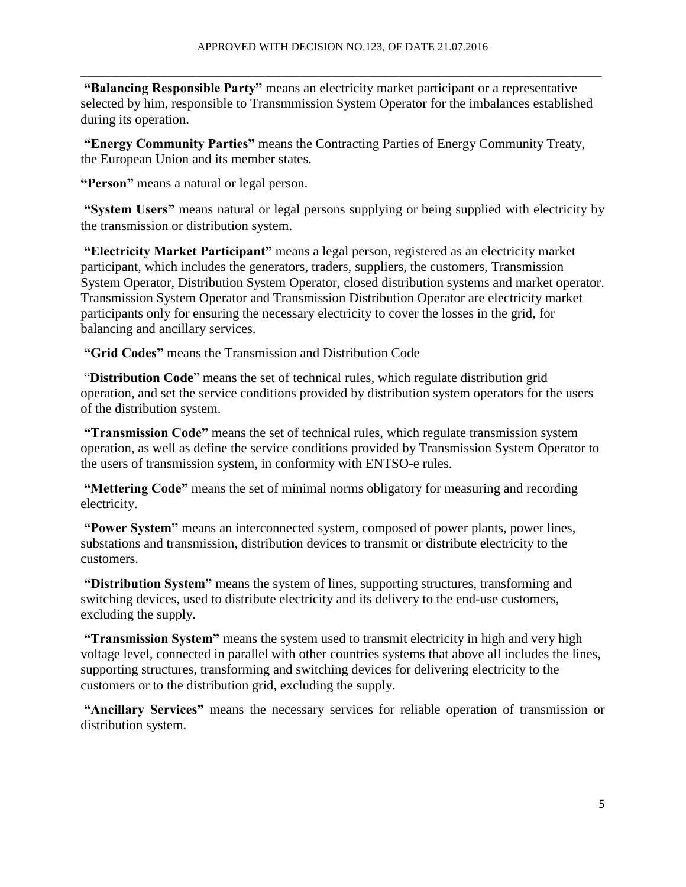**"Balancing Responsible Party"** means an electricity market participant or a representative selected by him, responsible to Transmmission System Operator for the imbalances established during its operation.

**"Energy Community Parties"** means the Contracting Parties of Energy Community Treaty, the European Union and its member states.

**"Person"** means a natural or legal person.

**"System Users"** means natural or legal persons supplying or being supplied with electricity by the transmission or distribution system.

**"Electricity Market Participant"** means a legal person, registered as an electricity market participant, which includes the generators, traders, suppliers, the customers, Transmission System Operator, Distribution System Operator, closed distribution systems and market operator. Transmission System Operator and Transmission Distribution Operator are electricity market participants only for ensuring the necessary electricity to cover the losses in the grid, for balancing and ancillary services.

**"Grid Codes"** means the Transmission and Distribution Code

"**Distribution Code**" means the set of technical rules, which regulate distribution grid operation, and set the service conditions provided by distribution system operators for the users of the distribution system.

**"Transmission Code"** means the set of technical rules, which regulate transmission system operation, as well as define the service conditions provided by Transmission System Operator to the users of transmission system, in conformity with ENTSO-e rules.

**"Mettering Code"** means the set of minimal norms obligatory for measuring and recording electricity.

**"Power System"** means an interconnected system, composed of power plants, power lines, substations and transmission, distribution devices to transmit or distribute electricity to the customers.

**"Distribution System"** means the system of lines, supporting structures, transforming and switching devices, used to distribute electricity and its delivery to the end-use customers, excluding the supply.

**"Transmission System"** means the system used to transmit electricity in high and very high voltage level, connected in parallel with other countries systems that above all includes the lines, supporting structures, transforming and switching devices for delivering electricity to the customers or to the distribution grid, excluding the supply.

**"Ancillary Services"** means the necessary services for reliable operation of transmission or distribution system.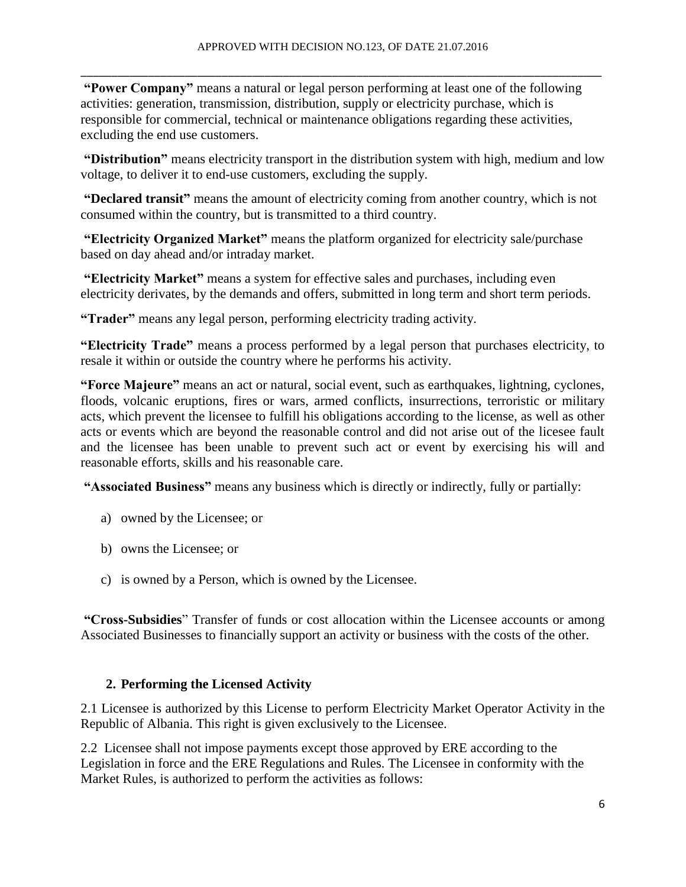**"Power Company"** means a natural or legal person performing at least one of the following activities: generation, transmission, distribution, supply or electricity purchase, which is responsible for commercial, technical or maintenance obligations regarding these activities, excluding the end use customers.

**"Distribution"** means electricity transport in the distribution system with high, medium and low voltage, to deliver it to end-use customers, excluding the supply.

**"Declared transit"** means the amount of electricity coming from another country, which is not consumed within the country, but is transmitted to a third country.

**"Electricity Organized Market"** means the platform organized for electricity sale/purchase based on day ahead and/or intraday market.

**"Electricity Market"** means a system for effective sales and purchases, including even electricity derivates, by the demands and offers, submitted in long term and short term periods.

**"Trader"** means any legal person, performing electricity trading activity.

**"Electricity Trade"** means a process performed by a legal person that purchases electricity, to resale it within or outside the country where he performs his activity.

**"Force Majeure"** means an act or natural, social event, such as earthquakes, lightning, cyclones, floods, volcanic eruptions, fires or wars, armed conflicts, insurrections, terroristic or military acts, which prevent the licensee to fulfill his obligations according to the license, as well as other acts or events which are beyond the reasonable control and did not arise out of the licesee fault and the licensee has been unable to prevent such act or event by exercising his will and reasonable efforts, skills and his reasonable care.

**"Associated Business"** means any business which is directly or indirectly, fully or partially:

- a) owned by the Licensee; or
- b) owns the Licensee; or
- c) is owned by a Person, which is owned by the Licensee.

**"Cross-Subsidies**" Transfer of funds or cost allocation within the Licensee accounts or among Associated Businesses to financially support an activity or business with the costs of the other.

# **2. Performing the Licensed Activity**

2.1 Licensee is authorized by this License to perform Electricity Market Operator Activity in the Republic of Albania. This right is given exclusively to the Licensee.

2.2 Licensee shall not impose payments except those approved by ERE according to the Legislation in force and the ERE Regulations and Rules. The Licensee in conformity with the Market Rules, is authorized to perform the activities as follows: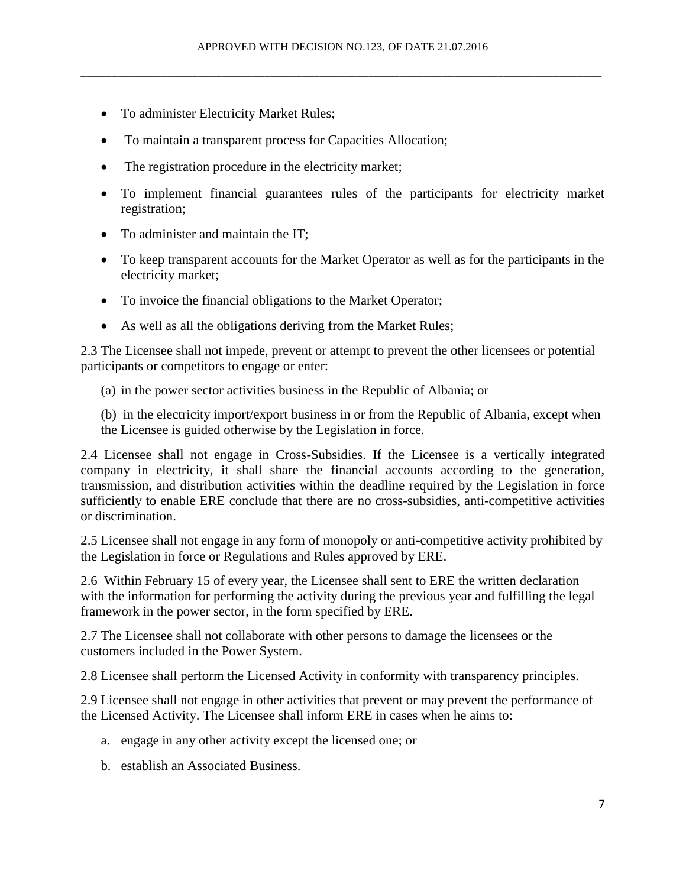- To administer Electricity Market Rules;
- To maintain a transparent process for Capacities Allocation;
- The registration procedure in the electricity market;
- To implement financial guarantees rules of the participants for electricity market registration;
- To administer and maintain the IT;
- To keep transparent accounts for the Market Operator as well as for the participants in the electricity market;
- To invoice the financial obligations to the Market Operator;
- As well as all the obligations deriving from the Market Rules;

2.3 The Licensee shall not impede, prevent or attempt to prevent the other licensees or potential participants or competitors to engage or enter:

(a) in the power sector activities business in the Republic of Albania; or

(b) in the electricity import/export business in or from the Republic of Albania, except when the Licensee is guided otherwise by the Legislation in force.

2.4 Licensee shall not engage in Cross-Subsidies. If the Licensee is a vertically integrated company in electricity, it shall share the financial accounts according to the generation, transmission, and distribution activities within the deadline required by the Legislation in force sufficiently to enable ERE conclude that there are no cross-subsidies, anti-competitive activities or discrimination.

2.5 Licensee shall not engage in any form of monopoly or anti-competitive activity prohibited by the Legislation in force or Regulations and Rules approved by ERE.

2.6 Within February 15 of every year, the Licensee shall sent to ERE the written declaration with the information for performing the activity during the previous year and fulfilling the legal framework in the power sector, in the form specified by ERE.

2.7 The Licensee shall not collaborate with other persons to damage the licensees or the customers included in the Power System.

2.8 Licensee shall perform the Licensed Activity in conformity with transparency principles.

2.9 Licensee shall not engage in other activities that prevent or may prevent the performance of the Licensed Activity. The Licensee shall inform ERE in cases when he aims to:

- a. engage in any other activity except the licensed one; or
- b. establish an Associated Business.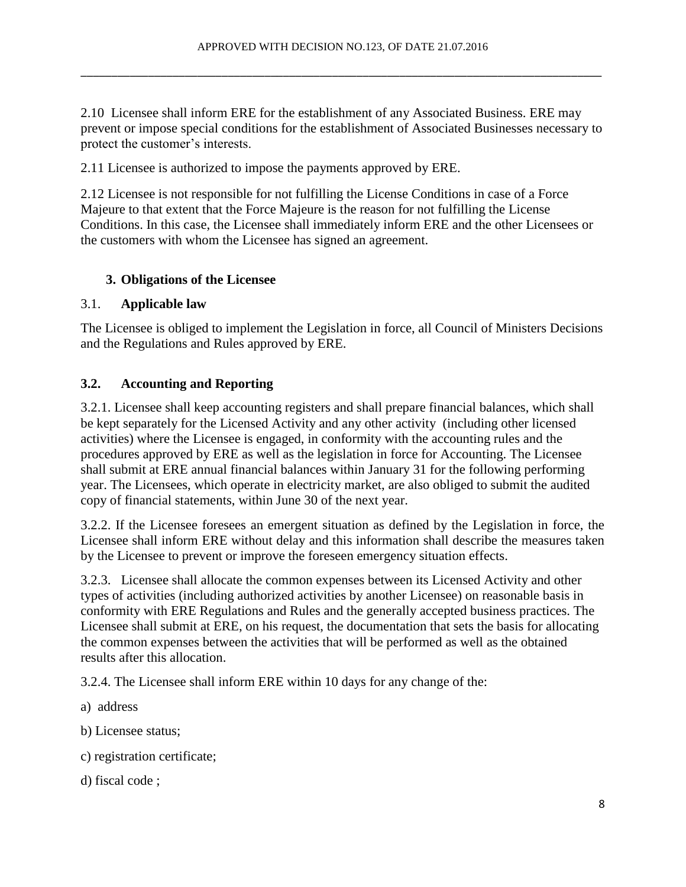2.10 Licensee shall inform ERE for the establishment of any Associated Business. ERE may prevent or impose special conditions for the establishment of Associated Businesses necessary to protect the customer's interests.

2.11 Licensee is authorized to impose the payments approved by ERE.

2.12 Licensee is not responsible for not fulfilling the License Conditions in case of a Force Majeure to that extent that the Force Majeure is the reason for not fulfilling the License Conditions. In this case, the Licensee shall immediately inform ERE and the other Licensees or the customers with whom the Licensee has signed an agreement.

# **3. Obligations of the Licensee**

#### 3.1. **Applicable law**

The Licensee is obliged to implement the Legislation in force, all Council of Ministers Decisions and the Regulations and Rules approved by ERE.

# **3.2. Accounting and Reporting**

3.2.1. Licensee shall keep accounting registers and shall prepare financial balances, which shall be kept separately for the Licensed Activity and any other activity (including other licensed activities) where the Licensee is engaged, in conformity with the accounting rules and the procedures approved by ERE as well as the legislation in force for Accounting. The Licensee shall submit at ERE annual financial balances within January 31 for the following performing year. The Licensees, which operate in electricity market, are also obliged to submit the audited copy of financial statements, within June 30 of the next year.

3.2.2. If the Licensee foresees an emergent situation as defined by the Legislation in force, the Licensee shall inform ERE without delay and this information shall describe the measures taken by the Licensee to prevent or improve the foreseen emergency situation effects.

3.2.3. Licensee shall allocate the common expenses between its Licensed Activity and other types of activities (including authorized activities by another Licensee) on reasonable basis in conformity with ERE Regulations and Rules and the generally accepted business practices. The Licensee shall submit at ERE, on his request, the documentation that sets the basis for allocating the common expenses between the activities that will be performed as well as the obtained results after this allocation.

3.2.4. The Licensee shall inform ERE within 10 days for any change of the:

- a) address
- b) Licensee status;
- c) registration certificate;
- d) fiscal code ;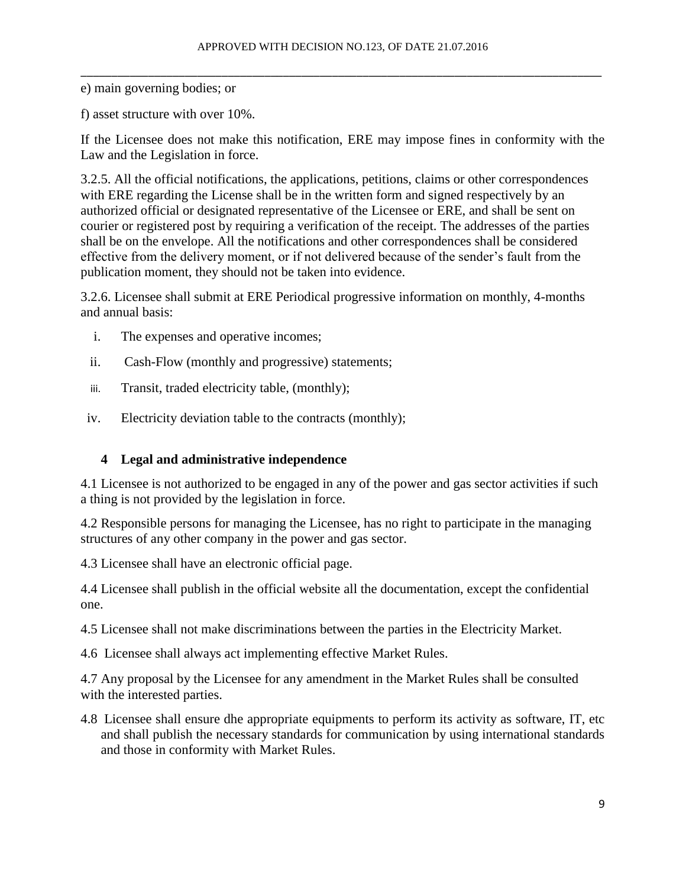e) main governing bodies; or

f) asset structure with over 10%.

If the Licensee does not make this notification, ERE may impose fines in conformity with the Law and the Legislation in force.

3.2.5. All the official notifications, the applications, petitions, claims or other correspondences with ERE regarding the License shall be in the written form and signed respectively by an authorized official or designated representative of the Licensee or ERE, and shall be sent on courier or registered post by requiring a verification of the receipt. The addresses of the parties shall be on the envelope. All the notifications and other correspondences shall be considered effective from the delivery moment, or if not delivered because of the sender's fault from the publication moment, they should not be taken into evidence.

3.2.6. Licensee shall submit at ERE Periodical progressive information on monthly, 4-months and annual basis:

- i. The expenses and operative incomes;
- ii. Cash-Flow (monthly and progressive) statements;
- iii. Transit, traded electricity table, (monthly);
- iv. Electricity deviation table to the contracts (monthly);

# **4 Legal and administrative independence**

4.1 Licensee is not authorized to be engaged in any of the power and gas sector activities if such a thing is not provided by the legislation in force.

4.2 Responsible persons for managing the Licensee, has no right to participate in the managing structures of any other company in the power and gas sector.

4.3 Licensee shall have an electronic official page.

4.4 Licensee shall publish in the official website all the documentation, except the confidential one.

4.5 Licensee shall not make discriminations between the parties in the Electricity Market.

4.6 Licensee shall always act implementing effective Market Rules.

4.7 Any proposal by the Licensee for any amendment in the Market Rules shall be consulted with the interested parties.

4.8 Licensee shall ensure dhe appropriate equipments to perform its activity as software, IT, etc and shall publish the necessary standards for communication by using international standards and those in conformity with Market Rules.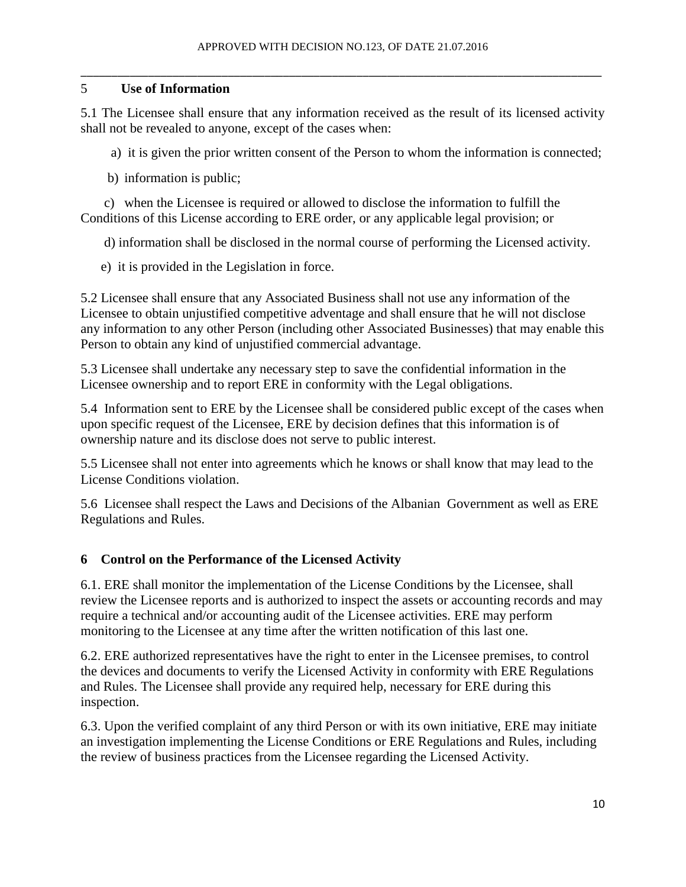#### 5 **Use of Information**

5.1 The Licensee shall ensure that any information received as the result of its licensed activity shall not be revealed to anyone, except of the cases when:

a) it is given the prior written consent of the Person to whom the information is connected;

b) information is public;

 c) when the Licensee is required or allowed to disclose the information to fulfill the Conditions of this License according to ERE order, or any applicable legal provision; or

d) information shall be disclosed in the normal course of performing the Licensed activity.

e) it is provided in the Legislation in force.

5.2 Licensee shall ensure that any Associated Business shall not use any information of the Licensee to obtain unjustified competitive adventage and shall ensure that he will not disclose any information to any other Person (including other Associated Businesses) that may enable this Person to obtain any kind of unjustified commercial advantage.

5.3 Licensee shall undertake any necessary step to save the confidential information in the Licensee ownership and to report ERE in conformity with the Legal obligations.

5.4 Information sent to ERE by the Licensee shall be considered public except of the cases when upon specific request of the Licensee, ERE by decision defines that this information is of ownership nature and its disclose does not serve to public interest.

5.5 Licensee shall not enter into agreements which he knows or shall know that may lead to the License Conditions violation.

5.6 Licensee shall respect the Laws and Decisions of the Albanian Government as well as ERE Regulations and Rules.

# **6 Control on the Performance of the Licensed Activity**

6.1. ERE shall monitor the implementation of the License Conditions by the Licensee, shall review the Licensee reports and is authorized to inspect the assets or accounting records and may require a technical and/or accounting audit of the Licensee activities. ERE may perform monitoring to the Licensee at any time after the written notification of this last one.

6.2. ERE authorized representatives have the right to enter in the Licensee premises, to control the devices and documents to verify the Licensed Activity in conformity with ERE Regulations and Rules. The Licensee shall provide any required help, necessary for ERE during this inspection.

6.3. Upon the verified complaint of any third Person or with its own initiative, ERE may initiate an investigation implementing the License Conditions or ERE Regulations and Rules, including the review of business practices from the Licensee regarding the Licensed Activity.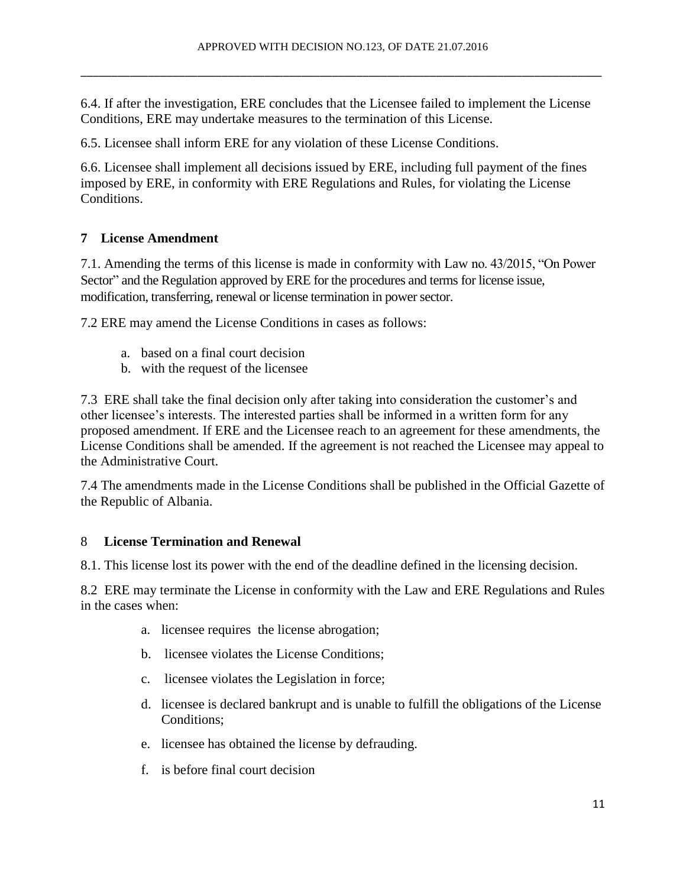6.4. If after the investigation, ERE concludes that the Licensee failed to implement the License Conditions, ERE may undertake measures to the termination of this License.

6.5. Licensee shall inform ERE for any violation of these License Conditions.

6.6. Licensee shall implement all decisions issued by ERE, including full payment of the fines imposed by ERE, in conformity with ERE Regulations and Rules, for violating the License Conditions.

#### **7 License Amendment**

7.1. Amending the terms of this license is made in conformity with Law no. 43/2015, "On Power Sector" and the Regulation approved by ERE for the procedures and terms for license issue, modification, transferring, renewal or license termination in power sector.

7.2 ERE may amend the License Conditions in cases as follows:

- a. based on a final court decision
- b. with the request of the licensee

7.3 ERE shall take the final decision only after taking into consideration the customer's and other licensee's interests. The interested parties shall be informed in a written form for any proposed amendment. If ERE and the Licensee reach to an agreement for these amendments, the License Conditions shall be amended. If the agreement is not reached the Licensee may appeal to the Administrative Court.

7.4 The amendments made in the License Conditions shall be published in the Official Gazette of the Republic of Albania.

#### 8 **License Termination and Renewal**

8.1. This license lost its power with the end of the deadline defined in the licensing decision.

8.2 ERE may terminate the License in conformity with the Law and ERE Regulations and Rules in the cases when:

- a. licensee requires the license abrogation;
- b. licensee violates the License Conditions;
- c. licensee violates the Legislation in force;
- d. licensee is declared bankrupt and is unable to fulfill the obligations of the License Conditions;
- e. licensee has obtained the license by defrauding.
- f. is before final court decision